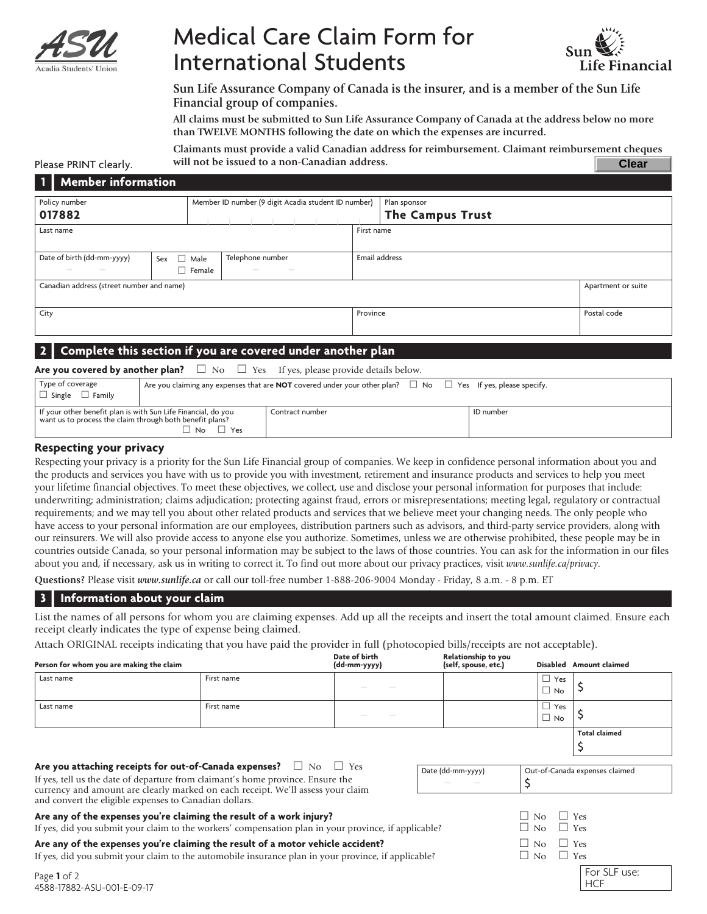

# Medical Care Claim Form for International Students



**Sun Life Assurance Company of Canada is the insurer, and is a member of the Sun Life Financial group of companies.**

**All claims must be submitted to Sun Life Assurance Company of Canada at the address below no more than TWELVE MONTHS following the date on which the expenses are incurred.**

**Claimants must provide a valid Canadian address for reimbursement. Claimant reimbursement cheques will not be issued to a non-Canadian address. Clear**

#### Please PRINT clearly. **<sup>1</sup> | Member information**

| n Br<br><b>Member Information</b>                                    |  |                                                     |        |            |  |                    |  |                         |  |  |
|----------------------------------------------------------------------|--|-----------------------------------------------------|--------|------------|--|--------------------|--|-------------------------|--|--|
| Policy number                                                        |  | Member ID number (9 digit Acadia student ID number) |        |            |  |                    |  | Plan sponsor            |  |  |
| 017882                                                               |  |                                                     |        |            |  |                    |  | <b>The Campus Trust</b> |  |  |
| Last name                                                            |  |                                                     |        | First name |  |                    |  |                         |  |  |
|                                                                      |  |                                                     |        |            |  |                    |  |                         |  |  |
| Date of birth (dd-mm-yyyy)<br>Telephone number<br>$\Box$ Male<br>Sex |  | Email address                                       |        |            |  |                    |  |                         |  |  |
| $\overline{\phantom{a}}$<br>$\sim$                                   |  | $\Box$ Female                                       | $\sim$ | $\sim$     |  |                    |  |                         |  |  |
| Canadian address (street number and name)                            |  |                                                     |        |            |  | Apartment or suite |  |                         |  |  |
|                                                                      |  |                                                     |        |            |  |                    |  |                         |  |  |
| City                                                                 |  |                                                     |        | Province   |  | Postal code        |  |                         |  |  |
|                                                                      |  |                                                     |        |            |  |                    |  |                         |  |  |
|                                                                      |  |                                                     |        |            |  |                    |  |                         |  |  |

#### **<sup>2</sup> | Complete this section if you are covered under another plan**

#### **Are you covered by another plan?**  $\Box$  No  $\Box$  Yes If yes, please provide details below.

| Type of coverage<br>$\Box$ Single $\Box$ Family                                                                           |                      | Are you claiming any expenses that are <b>NOT</b> covered under your other plan? $\Box$ No $\Box$ Yes If yes, please specify. |           |
|---------------------------------------------------------------------------------------------------------------------------|----------------------|-------------------------------------------------------------------------------------------------------------------------------|-----------|
| If your other benefit plan is with Sun Life Financial, do you<br>want us to process the claim through both benefit plans? | $\neg$ No $\neg$ Yes | Contract number                                                                                                               | ID number |

#### **Respecting your privacy**

Respecting your privacy is a priority for the Sun Life Financial group of companies. We keep in confidence personal information about you and the products and services you have with us to provide you with investment, retirement and insurance products and services to help you meet your lifetime financial objectives. To meet these objectives, we collect, use and disclose your personal information for purposes that include: underwriting; administration; claims adjudication; protecting against fraud, errors or misrepresentations; meeting legal, regulatory or contractual requirements; and we may tell you about other related products and services that we believe meet your changing needs. The only people who have access to your personal information are our employees, distribution partners such as advisors, and third-party service providers, along with our reinsurers. We will also provide access to anyone else you authorize. Sometimes, unless we are otherwise prohibited, these people may be in countries outside Canada, so your personal information may be subject to the laws of those countries. You can ask for the information in our files about you and, if necessary, ask us in writing to correct it. To find out more about our privacy practices, visit *www.sunlife.ca/privacy*.

**Questions?** Please visit *www.sunlife.ca* or call our toll-free number 1-888-206-9004 Monday - Friday, 8 a.m. - 8 p.m. ET

#### **<sup>3</sup> | Information about your claim**

List the names of all persons for whom you are claiming expenses. Add up all the receipts and insert the total amount claimed. Ensure each receipt clearly indicates the type of expense being claimed.

Attach ORIGINAL receipts indicating that you have paid the provider in full (photocopied bills/receipts are not acceptable).

| Person for whom you are making the claim                                                                                                                                                                                                                                                                    |            | Date of birth<br>(dd-mm-yyyy) | Relationship to you<br>(self, spouse, etc.) |                                | Disabled Amount claimed    |
|-------------------------------------------------------------------------------------------------------------------------------------------------------------------------------------------------------------------------------------------------------------------------------------------------------------|------------|-------------------------------|---------------------------------------------|--------------------------------|----------------------------|
| Last name                                                                                                                                                                                                                                                                                                   | First name |                               |                                             | $\Box$ Yes<br>$\Box$ No        |                            |
| Last name                                                                                                                                                                                                                                                                                                   | First name |                               |                                             | $\Box$ Yes<br>$\Box$ No        |                            |
|                                                                                                                                                                                                                                                                                                             |            |                               |                                             |                                | <b>Total claimed</b>       |
| Are you attaching receipts for out-of-Canada expenses? $\Box$ No $\Box$ Yes<br>If yes, tell us the date of departure from claimant's home province. Ensure the<br>currency and amount are clearly marked on each receipt. We'll assess your claim<br>and convert the eligible expenses to Canadian dollars. |            | Date (dd-mm-yyyy)             |                                             | Out-of-Canada expenses claimed |                            |
| Are any of the expenses you're claiming the result of a work injury?<br>$\Box$ No<br>If yes, did you submit your claim to the workers' compensation plan in your province, if applicable?<br>$\Box$ No                                                                                                      |            |                               | $\mathsf{L}$<br>$\mathsf{L}$                | Yes<br>Yes                     |                            |
| Are any of the expenses you're claiming the result of a motor vehicle accident?<br>$\Box$ No<br>If yes, did you submit your claim to the automobile insurance plan in your province, if applicable?<br>$\Box$ No                                                                                            |            |                               | $\Box$ Yes<br>$\Box$ Yes                    |                                |                            |
| Page 1 of 2<br>4588-17882-ASU-001-E-09-17                                                                                                                                                                                                                                                                   |            |                               |                                             |                                | For SLF use:<br><b>HCF</b> |